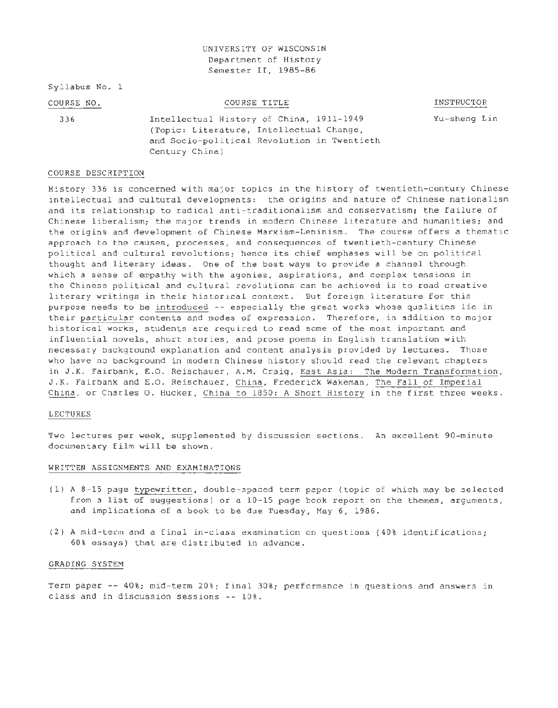## UNIVERSITY OF WISCONSIN Department of History Semester II, 1985-86

Syllabus No. 1

| COURSE NO. | COURSE TITLE                             | INSTRUCTOR<br>_____    |
|------------|------------------------------------------|------------------------|
| -336       | Intellectual History of China, 1911-1949 | $Yu-shell$ -sheng $Li$ |

Lin

(Topic: Literature, Intellectual Change, and Socio-political Revolution in Twentieth Century China)

## COURSE DESCRIPTION

History 336 is concerned with major topics in the history of twentieth-century Chinese intellectual and cultural developments: the origins and nature of Chinese nationalism and its relationship to radical anti-traditionalism and conservatism; the failure of Chinese liberalism; the major trends in modern Chinese literature and humanities; and the origins and development of Chinese Marxism-Leninism. The course offers a thematic approach to the causes, processes, and consequences of twentieth-century Chinese political and cultural revolutions; hence its chief emphases will be on political thought and literary ideas. One of the best ways to provide a channel through which a sense of empathy with the agonies, aspirations, and complex tensions in the Chinese political and cultural revolutions can be achieved is to read creative literary writings in their historical context. But foreign literature for this purpose needs to be introduced -- especially the great works whose qualities lie in their particular contents and modes of expression. Therefore, in addition to major historical works, students are required to read some of the most important and influential novels, short stories, and prose poems in English translation with necessary background explanation and content analysis provided by lectures. Those who have no background in modern Chinese history should read the relevant chapters in J.K. Fairbank, E.O. Reischauer, A.M. Craig, East Asia: The Modern Transformation, J.K. Fairbank and E.O. Reischauer, China, Frederick Wakeman, The Fall of Imperial China, or Charles 0. Hucker, China to 1850: A Short History in the first three weeks.

### LECTURES

Two lectures per week, supplemented by discussion sections. An excellent 90-minute documentary film will be shown.

#### WRITTEN ASSIGNMENTS AND EXAMINATIONS

- (1) A 8-15 page typewritten, double-spaced term paper (topic of which may be selected from a list of suggestions) or a 10-15 page book report on the themes, arguments, and implications of a book to be due Tuesday, May 6, 1986.
- (2) A mid-term and a final in-class examination on questions (40% identifications; 60% essays) that are distributed in advance.

## GRADING SYSTEM

Term paper -- 40%; mid- term 20%; final 30% ; performance in questions and answers in class and in discussion sessions -- 10%.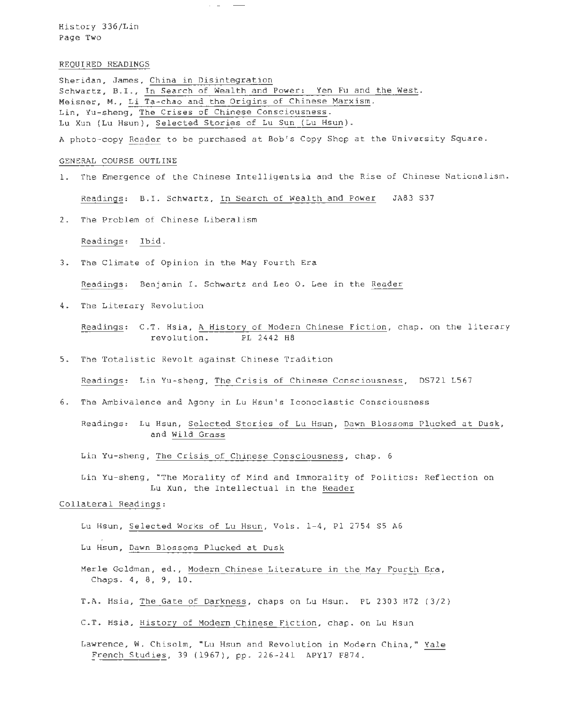History 336/Lin Page Two

#### REQUIRED READINGS

Sheridan, James, China in Disintegration Schwartz, B.I., In Search of Wealth and Power: Yen Fu and the West. Meisner, M., Li Ta-chao and the Origins of Chinese Marxism. Lin, Yu-sheng, The Crises of Chinese Consciousness. Lu Xun (Lu Hsun), Selected Stories of Lu Sun (Lu Hsun).

 $\sim$   $-$ 

A photo-copy Reader to be purchased at Bob's Copy Shop at the University Square.

### GENERAL COURSE OUTLINE

- 1. The Emergence of the Chinese Intelligentsia and the Rise of Chinese Nationalism. Readings: B.I. Schwartz, In Search of Wealth and Power JA83 S37
- 2. The Problem of Chinese Liberalism

Readings: Ibid.

3. The Climate of Opinion in the May Fourth Era

Readings: Benjamin I. Schwartz and Leo 0. Lee in the Reader

4. The Literary Revolution

Readings: C.T. Hsia, A History of Modern Chinese Fiction, chap. on the literary revolution. PL 2442 H8

5. The Totalistic Revolt against Chinese Tradition

Readings: Lin Yu-sheng, The Crisis of Chinese Consciousness, DS72l L567

6. The Ambivalence and Agony in Lu Hsun's Iconoclastic Consciousness

Readings: Lu Hsun, Selected Stories of Lu Hsun, Dawn Blossoms Plucked at Dusk, and Wild Grass

Lin Yu-sheng, The Crisis of Chinese Consciousness, chap. 6

Lin Yu -sheng, "The Morality of Mind and Immorality of Politics: Reflection on Lu Xun, the Intellectual in the Reader

#### Collateral Readings:

Lu Hsun, Selected Works of Lu Hsun, Vols . 1-4, Pl 2754 S5 A6

Lu Hsun , Dawn Blossoms Plucked at Dusk

- Merle Goldman, ed., Modern Chinese Literature in the May Fourth Era, Chaps. 4, 8, 9, 10.
- T . A. Hsia, The Gate of Darkness, chaps on Lu Hsun. PL 2303 H72 (3/2)

C.T. Hsia, History of Modern Chinese Fiction, chap. on Lu Hsun

Lawrence, W. Chisolm, "Lu Hsun and Revolution in Modern China," Yale French Studies, 39 (1967), pp. 226-241 APY17 F874.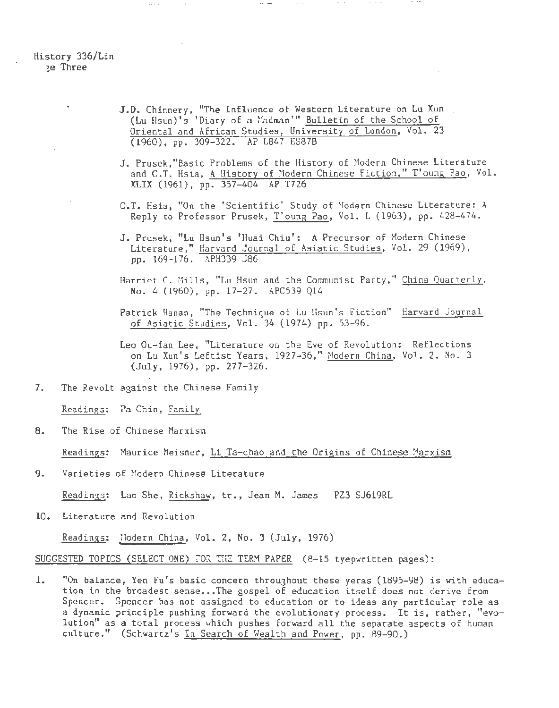# History 336/Lin ~e Three

- J.D. Chinnery, "The Influence of Western Literature on Lu Xun (Lu Hsun)'s 'Diary of a Madman'" Bulletin of the School of Oriental and African Studies, University of London, Vol. 23  $(1960)$ , pp. 309-322. AP L847 ES87B
- J. Prusek,"Basic Problems of the History of Hodern Chinese Literature and C.T. Hsia, A History of Modern Chinese Fiction," T'oung Pao, Vol. XLIX (1961), pp. 357-404 AP T726

 $\sim$  - - - -

- C.T. Hsia, "On the 'Scientific' Study of Modern Chinese Literature: A Reply to Professor Prusek, T'oung Pao, Vol. L (1963), pp. 428-474.
- J. Prusek, "Lu Hsun's 'Huai Chiu': A Precursor of Modern Chinese Literature," Harvard Journal of Asiatic Studies, Vol. 29 (1969), pp. 169-176. APH339 J86
- Harriet C. Hills, "Lu Hsun and the Communist Party," China Quarterly, No. 4 (1960), pp. 17-27. APC539 Q14
- Patrick Hanan, "The Technique of Lu Hsun's Fiction" Harvard Journal of Asiatic Studies, Vol. 34 (1974) pp. 53-96.

Leo Ou-fan Lee, "Literature on the Eve of Revolution: Reflections on Lu Xun's Leftist Years, 1927-36," Modern China, Vol. 2, No. 3 (July, 1976), pp. 277-326.

7. The Revolt against the Chinese Family

Readings: Pa Chin, Family

8. The Rise of Chinese Harxism

Readings.: Maurice Heisner, Li Ta-chao and the Origins of Chinese Marxism

9. Varieties of Modern Chinese Literature

Readin3s: Lao She, Rickshaw, tr., Jean M. James PZ3 SJ619RL

10. Literature and Revolution

Readinss; iiodern China, Vol. 2, No. 3 (July, 1976)

SUGGESTED TOPICS (SELECT ONE) ~OR TiiE TERM PAPER (8-15 tyepwritten pages):

1. "On balance, Yen Fu's basic concern throughout these yeras (1895-98) is with education in the broadest sense ... The gospel of education itself does not derive from Spencer. Spencer has not assigned to education or to ideas any particular role as a dynamic principle pushing forward the evolutionary process. It is, rather, "evolution" as a total process which pushes forward all the separate aspects of human culture." (Schwartz's In Search of Wealth and Power, pp. 89-90.)